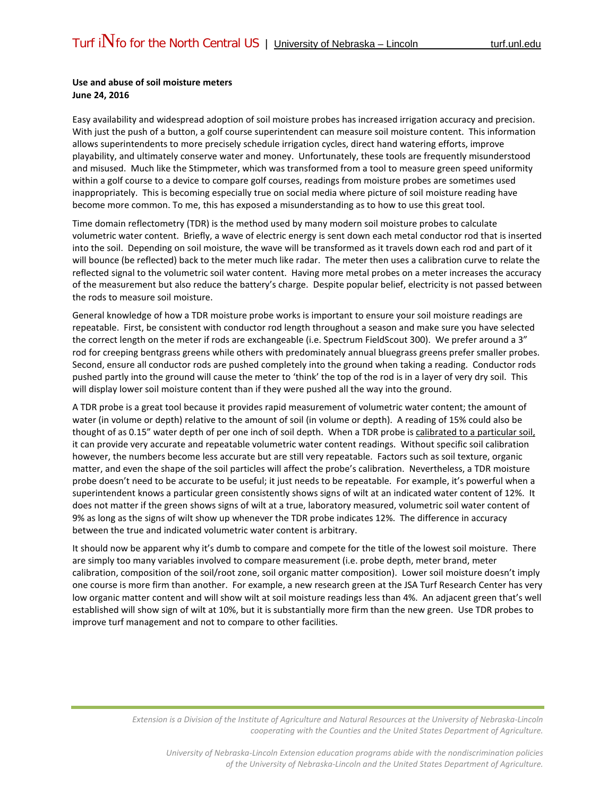## **Use and abuse of soil moisture meters June 24, 2016**

Easy availability and widespread adoption of soil moisture probes has increased irrigation accuracy and precision. With just the push of a button, a golf course superintendent can measure soil moisture content. This information allows superintendents to more precisely schedule irrigation cycles, direct hand watering efforts, improve playability, and ultimately conserve water and money. Unfortunately, these tools are frequently misunderstood and misused. Much like the Stimpmeter, which was transformed from a tool to measure green speed uniformity within a golf course to a device to compare golf courses, readings from moisture probes are sometimes used inappropriately. This is becoming especially true on social media where picture of soil moisture reading have become more common. To me, this has exposed a misunderstanding as to how to use this great tool.

Time domain reflectometry (TDR) is the method used by many modern soil moisture probes to calculate volumetric water content. Briefly, a wave of electric energy is sent down each metal conductor rod that is inserted into the soil. Depending on soil moisture, the wave will be transformed as it travels down each rod and part of it will bounce (be reflected) back to the meter much like radar. The meter then uses a calibration curve to relate the reflected signal to the volumetric soil water content. Having more metal probes on a meter increases the accuracy of the measurement but also reduce the battery's charge. Despite popular belief, electricity is not passed between the rods to measure soil moisture.

General knowledge of how a TDR moisture probe works is important to ensure your soil moisture readings are repeatable. First, be consistent with conductor rod length throughout a season and make sure you have selected the correct length on the meter if rods are exchangeable (i.e. Spectrum FieldScout 300). We prefer around a 3" rod for creeping bentgrass greens while others with predominately annual bluegrass greens prefer smaller probes. Second, ensure all conductor rods are pushed completely into the ground when taking a reading. Conductor rods pushed partly into the ground will cause the meter to 'think' the top of the rod is in a layer of very dry soil. This will display lower soil moisture content than if they were pushed all the way into the ground.

A TDR probe is a great tool because it provides rapid measurement of volumetric water content; the amount of water (in volume or depth) relative to the amount of soil (in volume or depth). A reading of 15% could also be thought of as 0.15" water depth of per one inch of soil depth. When a TDR probe is calibrated to a particular soil, it can provide very accurate and repeatable volumetric water content readings. Without specific soil calibration however, the numbers become less accurate but are still very repeatable. Factors such as soil texture, organic matter, and even the shape of the soil particles will affect the probe's calibration. Nevertheless, a TDR moisture probe doesn't need to be accurate to be useful; it just needs to be repeatable. For example, it's powerful when a superintendent knows a particular green consistently shows signs of wilt at an indicated water content of 12%. It does not matter if the green shows signs of wilt at a true, laboratory measured, volumetric soil water content of 9% as long as the signs of wilt show up whenever the TDR probe indicates 12%. The difference in accuracy between the true and indicated volumetric water content is arbitrary.

It should now be apparent why it's dumb to compare and compete for the title of the lowest soil moisture. There are simply too many variables involved to compare measurement (i.e. probe depth, meter brand, meter calibration, composition of the soil/root zone, soil organic matter composition). Lower soil moisture doesn't imply one course is more firm than another. For example, a new research green at the JSA Turf Research Center has very low organic matter content and will show wilt at soil moisture readings less than 4%. An adjacent green that's well established will show sign of wilt at 10%, but it is substantially more firm than the new green. Use TDR probes to improve turf management and not to compare to other facilities.

> *Extension is a Division of the Institute of Agriculture and Natural Resources at the University of Nebraska-Lincoln cooperating with the Counties and the United States Department of Agriculture.*

*University of Nebraska-Lincoln Extension education programs abide with the nondiscrimination policies of the University of Nebraska-Lincoln and the United States Department of Agriculture.*